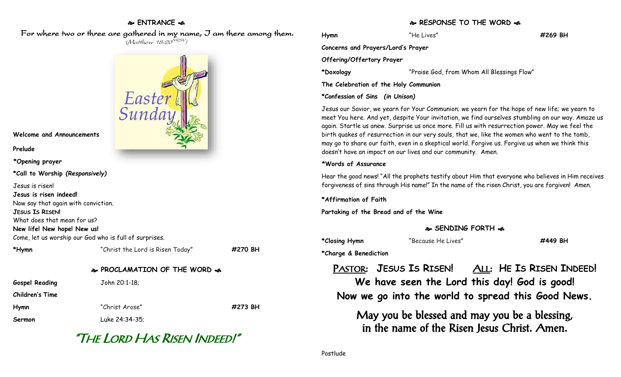## **ENTRANCE**

 For where two or three are gathered in my name, I am there among them.  $(M$ atthew 18:20 $^{VRSV})$ 



**Welcome and Announcements**

**Prelude**

**\*Opening prayer**

**\*Call to Worship** *(Responsively)*

Jesus is risen!

**Jesus is risen indeed!**

Now say that again with conviction.

**JESUS IS RISEN!**

What does that mean for us?

**New life! New hope! New us!**

Come, let us worship our God who is full of surprises.

| *Hymn                 | "Christ the Lord is Risen Today"            | #270 BH |
|-----------------------|---------------------------------------------|---------|
|                       | <b>&amp; PROCLAMATION OF THE WORD &amp;</b> |         |
| <b>Gospel Reading</b> | John 20:1-18:                               |         |
| Children's Time       |                                             |         |

**Hymn** "Christ Arose" **#273 BH Sermon** Luke 24:34-35;

# "THE LORD HAS RISEN INDEED!"

### **RESPONSE TO THE WORD**  $\approx$

**Hymn** "He Lives" **#269 BH Concerns and Prayers/Lord's Prayer Offering/Offertory Prayer \*Doxology** "Praise God, from Whom All Blessings Flow" **The Celebration of the Holy Communion**

**\*Confession of Sins** *(in Unison)*

Jesus our Savior, we yearn for Your Communion; we yearn for the hope of new life; we yearn to meet You here. And yet, despite Your invitation, we find ourselves stumbling on our way. Amaze us again. Startle us anew. Surprise us once more. Fill us with resurrection power. May we feel the birth quakes of resurrection in our very souls, that we, like the women who went to the tomb, may go to share our faith, even in a skeptical world. Forgive us. Forgive us when we think this doesn't have an impact on our lives and our community. Amen.

#### **\*Words of Assurance**

Hear the good news! "All the prophets testify about Him that everyone who believes in Him receives forgiveness of sins through His name!" In the name of the risen Christ, you are forgiven! Amen.

**\*Affirmation of Faith**

**Partaking of the Bread and of the Wine**

## **SENDING FORTH**

| *Closing Hymn | "Because He Lives" | #449 BH |
|---------------|--------------------|---------|
|---------------|--------------------|---------|

**\*Charge & Benediction**

PASTOR: **JESUS IS RISEN!** ALL: **HE IS RISEN INDEED! We have seen the Lord this day! God is good! Now we go into the world to spread this Good News.**

May you be blessed and may you be a blessing, in the name of the Risen Jesus Christ. Amen.